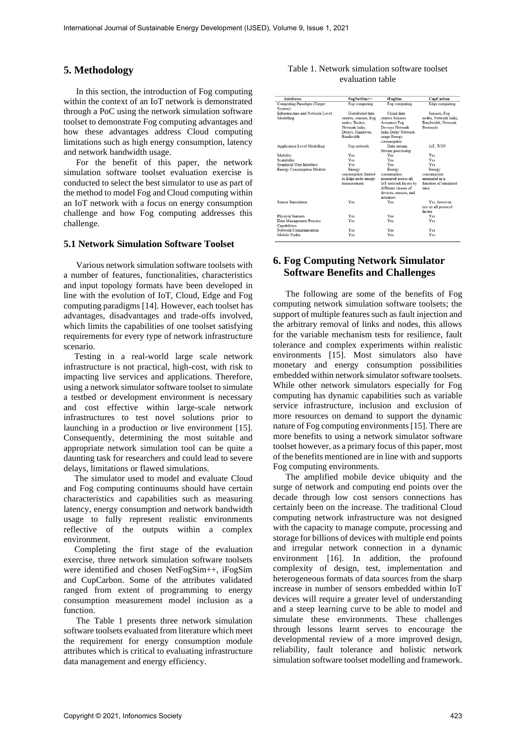### **5. Methodology**

In this section, the introduction of Fog computing within the context of an IoT network is demonstrated through a PoC using the network simulation software toolset to demonstrate Fog computing advantages and how these advantages address Cloud computing limitations such as high energy consumption, latency and network bandwidth usage.

For the benefit of this paper, the network simulation software toolset evaluation exercise is conducted to select the best simulator to use as part of the method to model Fog and Cloud computing within an IoT network with a focus on energy consumption challenge and how Fog computing addresses this challenge.

### **5.1 Network Simulation Software Toolset**

Various network simulation software toolsets with a number of features, functionalities, characteristics and input topology formats have been developed in line with the evolution of IoT, Cloud, Edge and Fog computing paradigms [14]. However, each toolset has advantages, disadvantages and trade-offs involved, which limits the capabilities of one toolset satisfying requirements for every type of network infrastructure scenario.

Testing in a real-world large scale network infrastructure is not practical, high-cost, with risk to impacting live services and applications. Therefore, using a network simulator software toolset to simulate a testbed or development environment is necessary and cost effective within large-scale network infrastructures to test novel solutions prior to launching in a production or live environment [15]. Consequently, determining the most suitable and appropriate network simulation tool can be quite a daunting task for researchers and could lead to severe delays, limitations or flawed simulations.

The simulator used to model and evaluate Cloud and Fog computing continuums should have certain characteristics and capabilities such as measuring latency, energy consumption and network bandwidth usage to fully represent realistic environments reflective of the outputs within a complex environment.

Completing the first stage of the evaluation exercise, three network simulation software toolsets were identified and chosen NetFogSim++, iFogSim and CupCarbon. Some of the attributes validated ranged from extent of programming to energy consumption measurement model inclusion as a function.

The Table 1 presents three network simulation software toolsets evaluated from literature which meet the requirement for energy consumption module attributes which is critical to evaluating infrastructure data management and energy efficiency.

#### Table 1. Network simulation software toolset evaluation table

| <b>Attributes</b>                  | FogNetSim++           | iFogSim               | CupCarbon             |
|------------------------------------|-----------------------|-----------------------|-----------------------|
| Computing Paradigm (Target         | Fog computing         | Fog computing         | Edge computing        |
| System)                            |                       |                       |                       |
| Infrastructure and Network Level   | Distributed data      | Cloud data            | Sensors, Fog          |
| Modelling                          | centres, sensors, Fog | centres Sensors       | nodes. Network links. |
|                                    | nodes, Broker,        | <b>Actuators Fog</b>  | Bandwidth, Network    |
|                                    | Network links.        | Devices Network       | Protocols             |
|                                    | Delays, Handover,     | links Delay Network   |                       |
|                                    | Bandwidth.            | usage Energy          |                       |
|                                    |                       | consumption           |                       |
| <b>Application Level Modelling</b> | Fog network           | Data stream.          | IoT. WSN              |
|                                    |                       | Stream processing     |                       |
| Mobility                           | Yes                   | Yes                   | Yes                   |
| Scalability                        | Yes                   | Yes                   | Yes                   |
| Graphical User Interface           | Yes                   | Yes                   | Yes                   |
| <b>Energy Consumption Module</b>   | Energy                | Energy                | Energy                |
|                                    | consumption limited   | consumption           | consumption           |
|                                    | to Edge node energy   | measured across all   | measured as a         |
|                                    | measurement           | IoT network layers by | function of simulated |
|                                    |                       | different classes of  | time                  |
|                                    |                       | devices, sensors, and |                       |
|                                    |                       | actuators             |                       |
| Sensor Simulation                  | Yes                   | Yes                   | Yes, however,         |
|                                    |                       |                       | not on all protocol   |
|                                    |                       |                       | layers                |
| <b>Physical Sensors</b>            | Yes                   | Yes                   | Yes                   |
| Data Management Process            | Yes                   | Yes                   | Yes                   |
| Capabilities                       |                       |                       |                       |
| Network Communication              | Yes                   | Yes                   | Yes                   |
| Mobile Nodes                       | Yes                   | Yes                   | Yes                   |
|                                    |                       |                       |                       |

# **6. Fog Computing Network Simulator Software Benefits and Challenges**

The following are some of the benefits of Fog computing network simulation software toolsets; the support of multiple features such as fault injection and the arbitrary removal of links and nodes, this allows for the variable mechanism tests for resilience, fault tolerance and complex experiments within realistic environments [15]. Most simulators also have monetary and energy consumption possibilities embedded within network simulator software toolsets. While other network simulators especially for Fog computing has dynamic capabilities such as variable service infrastructure, inclusion and exclusion of more resources on demand to support the dynamic nature of Fog computing environments [15]. There are more benefits to using a network simulator software toolset however, as a primary focus of this paper, most of the benefits mentioned are in line with and supports Fog computing environments.

The amplified mobile device ubiquity and the surge of network and computing end points over the decade through low cost sensors connections has certainly been on the increase. The traditional Cloud computing network infrastructure was not designed with the capacity to manage compute, processing and storage for billions of devices with multiple end points and irregular network connection in a dynamic environment [16]. In addition, the profound complexity of design, test, implementation and heterogeneous formats of data sources from the sharp increase in number of sensors embedded within IoT devices will require a greater level of understanding and a steep learning curve to be able to model and simulate these environments. These challenges through lessons learnt serves to encourage the developmental review of a more improved design, reliability, fault tolerance and holistic network simulation software toolset modelling and framework. For the control of the control of the control of the control of the control of the control of the control of the control of the control of the control of the control of the control of the control of the control of the con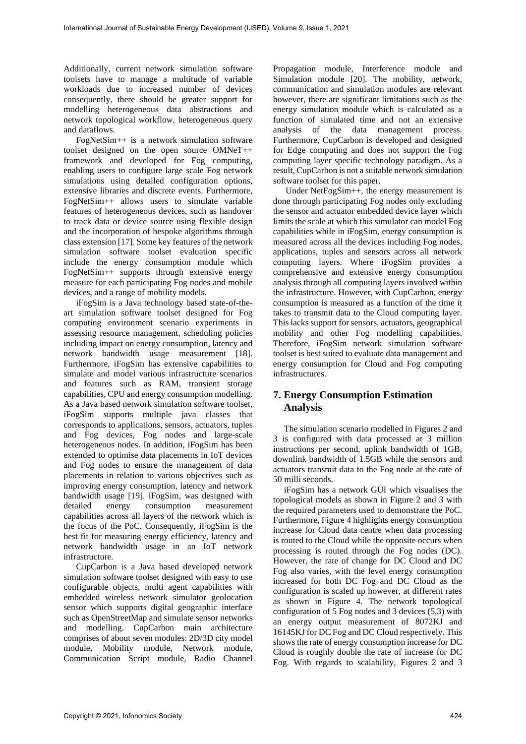Additionally, current network simulation software toolsets have to manage a multitude of variable workloads due to increased number of devices consequently, there should be greater support for modelling heterogeneous data abstractions and network topological workflow, heterogeneous query and dataflows.

FogNetSim++ is a network simulation software toolset designed on the open source OMNeT++ framework and developed for Fog computing, enabling users to configure large scale Fog network simulations using detailed configuration options, extensive libraries and discrete events. Furthermore, FogNetSim++ allows users to simulate variable features of heterogeneous devices, such as handover to track data or device source using flexible design and the incorporation of bespoke algorithms through class extension [17]. Some key features of the network simulation software toolset evaluation specific include the energy consumption module which FogNetSim++ supports through extensive energy measure for each participating Fog nodes and mobile devices, and a range of mobility models.

iFogSim is a Java technology based state-of-theart simulation software toolset designed for Fog computing environment scenario experiments in assessing resource management, scheduling policies including impact on energy consumption, latency and network bandwidth usage measurement [18]. Furthermore, iFogSim has extensive capabilities to simulate and model various infrastructure scenarios and features such as RAM, transient storage capabilities, CPU and energy consumption modelling. As a Java based network simulation software toolset, iFogSim supports multiple java classes that corresponds to applications, sensors, actuators, tuples and Fog devices, Fog nodes and large-scale heterogeneous nodes. In addition, iFogSim has been extended to optimise data placements in IoT devices and Fog nodes to ensure the management of data placements in relation to various objectives such as improving energy consumption, latency and network bandwidth usage [19]. iFogSim, was designed with detailed energy consumption measurement capabilities across all layers of the network which is the focus of the PoC. Consequently, iFogSim is the best fit for measuring energy efficiency, latency and network bandwidth usage in an IoT network infrastructure. And the continuous continuous continuous continuous methods. The main of the continuous continuous continuous continuous continuous continuous continuous continuous continuous continuous continuous continuous continuous

CupCarbon is a Java based developed network simulation software toolset designed with easy to use configurable objects, multi agent capabilities with embedded wireless network simulator geolocation sensor which supports digital geographic interface such as OpenStreetMap and simulate sensor networks and modelling. CupCarbon main architecture comprises of about seven modules: 2D/3D city model module, Mobility module, Network module, Communication Script module, Radio Channel

Propagation module, Interference module and Simulation module [20]. The mobility, network, communication and simulation modules are relevant however, there are significant limitations such as the energy simulation module which is calculated as a function of simulated time and not an extensive analysis of the data management process. Furthermore, CupCarbon is developed and designed for Edge computing and does not support the Fog computing layer specific technology paradigm. As a result, CupCarbon is not a suitable network simulation software toolset for this paper.

Under NetFogSim++, the energy measurement is done through participating Fog nodes only excluding the sensor and actuator embedded device layer which limits the scale at which this simulator can model Fog capabilities while in iFogSim, energy consumption is measured across all the devices including Fog nodes, applications, tuples and sensors across all network computing layers. Where iFogSim provides a comprehensive and extensive energy consumption analysis through all computing layers involved within the infrastructure. However, with CupCarbon, energy consumption is measured as a function of the time it takes to transmit data to the Cloud computing layer. This lacks support for sensors, actuators, geographical mobility and other Fog modelling capabilities. Therefore, iFogSim network simulation software toolset is best suited to evaluate data management and energy consumption for Cloud and Fog computing infrastructures.

# **7. Energy Consumption Estimation Analysis**

The simulation scenario modelled in Figures 2 and 3 is configured with data processed at 3 million instructions per second, uplink bandwidth of 1GB, downlink bandwidth of 1.5GB while the sensors and actuators transmit data to the Fog node at the rate of 50 milli seconds.

iFogSim has a network GUI which visualises the topological models as shown in Figure 2 and 3 with the required parameters used to demonstrate the PoC. Furthermore, Figure 4 highlights energy consumption increase for Cloud data centre when data processing is routed to the Cloud while the opposite occurs when processing is routed through the Fog nodes (DC). However, the rate of change for DC Cloud and DC Fog also varies, with the level energy consumption increased for both DC Fog and DC Cloud as the configuration is scaled up however, at different rates as shown in Figure 4. The network topological configuration of 5 Fog nodes and 3 devices (5,3) with an energy output measurement of 8072KJ and 16145KJ for DC Fog and DC Cloud respectively. This shows the rate of energy consumption increase for DC Cloud is roughly double the rate of increase for DC Fog. With regards to scalability, Figures 2 and 3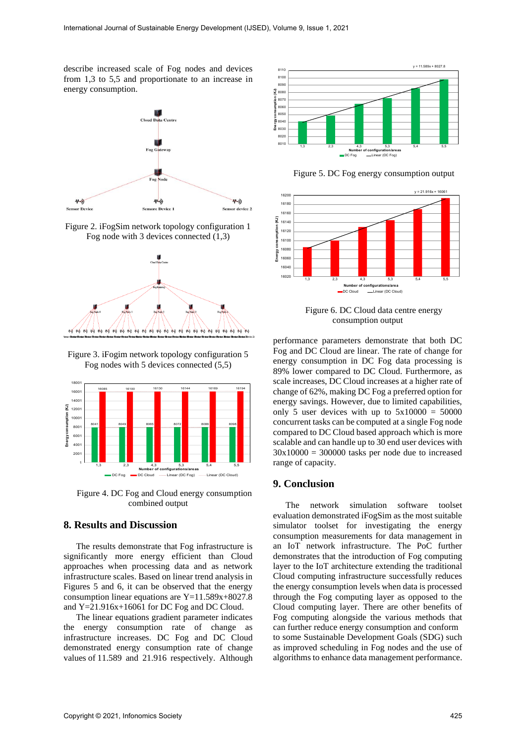describe increased scale of Fog nodes and devices from 1,3 to 5,5 and proportionate to an increase in energy consumption.



Figure 2. iFogSim network topology configuration 1 Fog node with 3 devices connected (1,3)



Figure 3. iFogim network topology configuration 5 Fog nodes with 5 devices connected (5,5)



Figure 4. DC Fog and Cloud energy consumption combined output

## **8. Results and Discussion**

The results demonstrate that Fog infrastructure is significantly more energy efficient than Cloud approaches when processing data and as network infrastructure scales. Based on linear trend analysis in Figures 5 and 6, it can be observed that the energy consumption linear equations are Y=11.589x+8027.8 and Y=21.916x+16061 for DC Fog and DC Cloud.

The linear equations gradient parameter indicates the energy consumption rate of change as infrastructure increases. DC Fog and DC Cloud demonstrated energy consumption rate of change values of 11.589 and 21.916 respectively. Although



Figure 5. DC Fog energy consumption output



Figure 6. DC Cloud data centre energy consumption output

performance parameters demonstrate that both DC Fog and DC Cloud are linear. The rate of change for energy consumption in DC Fog data processing is 89% lower compared to DC Cloud. Furthermore, as scale increases, DC Cloud increases at a higher rate of change of 62%, making DC Fog a preferred option for energy savings. However, due to limited capabilities, only 5 user devices with up to  $5x10000 = 50000$ concurrent tasks can be computed at a single Fog node compared to DC Cloud based approach which is more scalable and can handle up to 30 end user devices with  $30x10000 = 300000$  tasks per node due to increased range of capacity.

### **9. Conclusion**

The network simulation software toolset evaluation demonstrated iFogSim as the most suitable simulator toolset for investigating the energy consumption measurements for data management in an IoT network infrastructure. The PoC further demonstrates that the introduction of Fog computing layer to the IoT architecture extending the traditional Cloud computing infrastructure successfully reduces the energy consumption levels when data is processed through the Fog computing layer as opposed to the Cloud computing layer. There are other benefits of Fog computing alongside the various methods that can further reduce energy consumption and conform to some Sustainable Development Goals (SDG) such as improved scheduling in Fog nodes and the use of algorithms to enhance data management performance. For the state of the state and the state of the state and the state of the state of the state and the state of the state of the state of the state of the state of the state of the state of the state of the state of the st